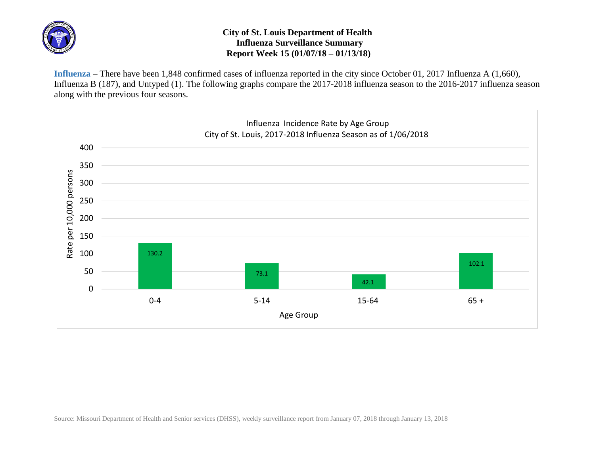

## **City of St. Louis Department of Health Influenza Surveillance Summary Report Week 15 (01/07/18 – 01/13/18)**

**Influenza** – There have been 1,848 confirmed cases of influenza reported in the city since October 01, 2017 Influenza A (1,660), Influenza B (187), and Untyped (1). The following graphs compare the 2017-2018 influenza season to the 2016-2017 influenza season along with the previous four seasons.